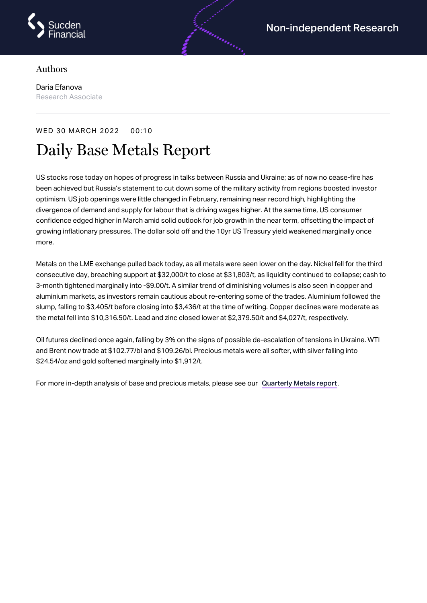

## Authors

Daria Efanova Research Associate

## WED 30 MARCH 2022 00:10

## Daily Base Metals Report

US stocks rose today on hopes of progress in talks between Russia and Ukraine; as of now no cease-fire has been achieved but Russia's statement to cut down some of the military activity from regions boosted investor optimism. US job openings were little changed in February, remaining near record high, highlighting the divergence of demand and supply for labour that is driving wages higher. At the same time, US consumer confidence edged higher in March amid solid outlook for job growth in the near term, offsetting the impact of growing inflationary pressures. The dollar sold off and the 10yr US Treasury yield weakened marginally once more.

Metals on the LME exchange pulled back today, as all metals were seen lower on the day. Nickel fell for the third consecutive day, breaching support at \$32,000/t to close at \$31,803/t, as liquidity continued to collapse; cash to 3-month tightened marginally into -\$9.00/t. A similar trend of diminishing volumes is also seen in copper and aluminium markets, as investors remain cautious about re-entering some of the trades. Aluminium followed the slump, falling to \$3,405/t before closing into \$3,436/t at the time of writing. Copper declines were moderate as the metal fell into \$10,316.50/t. Lead and zinc closed lower at \$2,379.50/t and \$4,027/t, respectively.

Oil futures declined once again, falling by 3% on the signs of possible de-escalation of tensions in Ukraine. WTI and Brent now trade at \$102.77/bl and \$109.26/bl. Precious metals were all softer, with silver falling into \$24.54/oz and gold softened marginally into \$1,912/t.

For more in-depth analysis of base and precious metals, please see our [Quarterly](https://www.sucdenfinancial.com/en/reports/quarterly-metals/qmr-q1-2022/) Metals report.